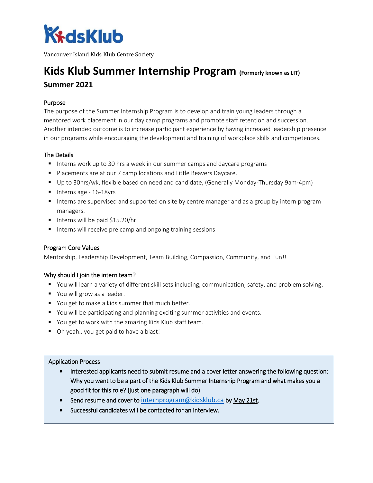

Vancouver Island Kids Klub Centre Society

# **Kids Klub Summer Internship Program** (Formerly known as LIT) **Summer 2021**

## Purpose

The purpose of the Summer Internship Program is to develop and train young leaders through a mentored work placement in our day camp programs and promote staff retention and succession. Another intended outcome is to increase participant experience by having increased leadership presence in our programs while encouraging the development and training of workplace skills and competences.

## The Details

- Interns work up to 30 hrs a week in our summer camps and daycare programs
- **Placements are at our 7 camp locations and Little Beavers Daycare.**
- Up to 30hrs/wk, flexible based on need and candidate, (Generally Monday-Thursday 9am-4pm)
- $\blacksquare$  Interns age 16-18yrs
- **Interns are supervised and supported on site by centre manager and as a group by intern program** managers.
- Interns will be paid  $$15.20/hr$
- Interns will receive pre camp and ongoing training sessions

# Program Core Values

Mentorship, Leadership Development, Team Building, Compassion, Community, and Fun!!

## Why should I join the intern team?

- You will learn a variety of different skill sets including, communication, safety, and problem solving.
- You will grow as a leader.
- You get to make a kids summer that much better.
- You will be participating and planning exciting summer activities and events.
- You get to work with the amazing Kids Klub staff team.
- Oh yeah.. you get paid to have a blast!

## Application Process

- Interested applicants need to submit resume and a cover letter answering the following question: Why you want to be a part of the Kids Klub Summer Internship Program and what makes you a good fit for this role? (just one paragraph will do)
- Send resume and cover to [internprogram@kidsklub.ca](mailto:internprogram@kidsklub.ca) by May 21st.
- Successful candidates will be contacted for an interview.